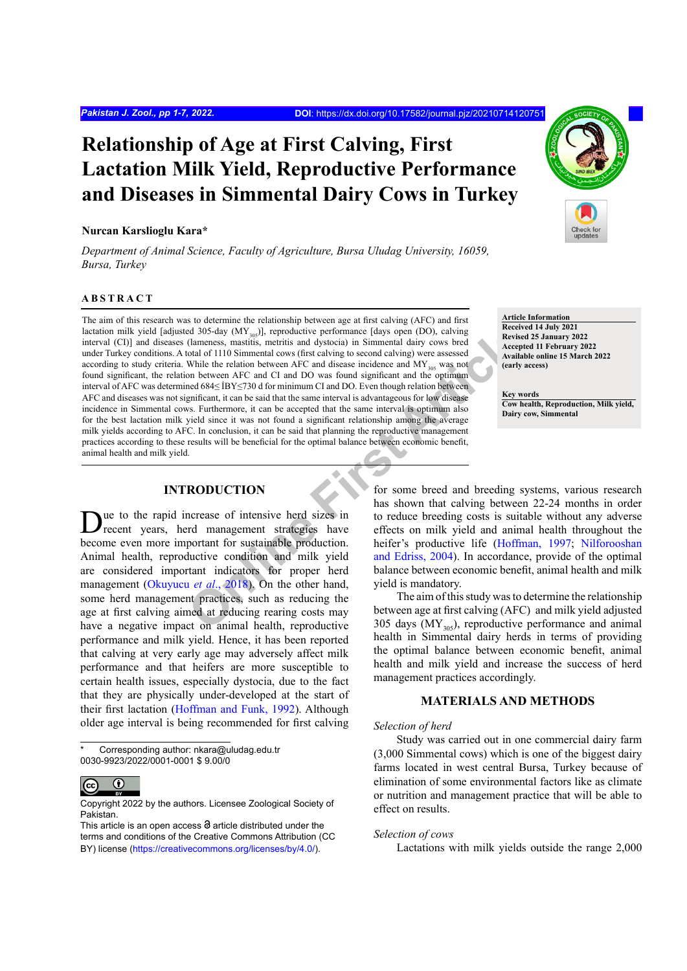# **Relationship of Age at First Calving, First Lactation Milk Yield, Reproductive Performance and Diseases in Simmental Dairy Cows in Turkey**

## **Nurcan Karslioglu Kara\***

*Department of Animal Science, Faculty of Agriculture, Bursa Uludag University, 16059, Bursa, Turkey*

# **ABSTRACT**

205-day (MY<sub>stex</sub>)), reproductive performance [days open (DO), calving<br>
(damentss, mattikis, metrikis and dystocia) in Simmental dary cows bread<br>
Cateroid of 1110 Simmental cows frist calving to second calving by were asse The aim of this research was to determine the relationship between age at first calving (AFC) and first lactation milk yield [adjusted 305-day (MY<sub>305</sub>)], reproductive performance [days open (DO), calving interval (CI)] and diseases (lameness, mastitis, metritis and dystocia) in Simmental dairy cows bred under Turkey conditions. A total of 1110 Simmental cows (first calving to second calving) were assessed according to study criteria. While the relation between AFC and disease incidence and  $MY_{305}$  was not found significant, the relation between AFC and CI and DO was found significant and the optimum interval of AFC was determined 684≤ İBY≤730 d for minimum CI and DO. Even though relation between AFC and diseases was not significant, it can be said that the same interval is advantageous for low disease incidence in Simmental cows. Furthermore, it can be accepted that the same interval is optimum also for the best lactation milk yield since it was not found a significant relationship among the average milk yields according to AFC. In conclusion, it can be said that planning the reproductive management practices according to these results will be beneficial for the optimal balance between economic benefit, animal health and milk yield.

# **INTRODUCTION**

Due to the rapid increase of intensive herd sizes in recent years, herd management strategies have become even more important for sustainable production. Animal health, reproductive condition and milk yield are considered important indicators for proper herd management (Okuyucu *et al*., 2018). On the other hand, some herd management practices, such as reducing the age at first calving aimed at reducing rearing costs may have a negative impact on animal health, reproductive performance and milk yield. Hence, it has been reported that calving at very early age may adversely affect milk performance and that heifers are more susceptible to certain health issues, especially dystocia, due to the fact that they are physically under-developed at the start of their first lactation ([Hoffman and Funk, 1992\)](#page-5-0). Although older age interval is being recommended for first calving



**Article Information**

**Received 14 July 2021 Revised 25 January 2022 Accepted 11 February 2022 Available online 15 March 2022 (early access)**

**Key words Cow health, Reproduction, Milk yield, Dairy cow, Simmental**

for some breed and breeding systems, various research has shown that calving between 22-24 months in order to reduce breeding costs is suitable without any adverse effects on milk yield and animal health throughout the heifer's productive life ([Hoffman, 1997](#page-5-1); [Nilforooshan](#page-5-2) and Edriss, 2004). In accordance, provide of the optimal balance between economic benefit, animal health and milk yield is mandatory.

The aim of this study was to determine the relationship between age at first calving (AFC) and milk yield adjusted 305 days  $(MY_{305})$ , reproductive performance and animal health in Simmental dairy herds in terms of providing the optimal balance between economic benefit, animal health and milk yield and increase the success of herd management practices accordingly.

# **MATERIALS AND METHODS**

#### *Selection of herd*

Study was carried out in one commercial dairy farm (3,000 Simmental cows) which is one of the biggest dairy farms located in west central Bursa, Turkey because of elimination of some environmental factors like as climate or nutrition and management practice that will be able to effect on results.

#### *Selection of cows*

Lactations with milk yields outside the range 2,000

Corresponding author: nkara@uludag.edu.tr 0030-9923/2022/0001-0001 \$ 9.00/0

 $\bf \odot$  $\left($ cc

Copyright 2022 by the authors. Licensee Zoological Society of Pakistan.

This article is an open access  $\Theta$  article distributed under the terms and conditions of the Creative Commons Attribution (CC BY) license (https://creativecommons.org/licenses/by/4.0/).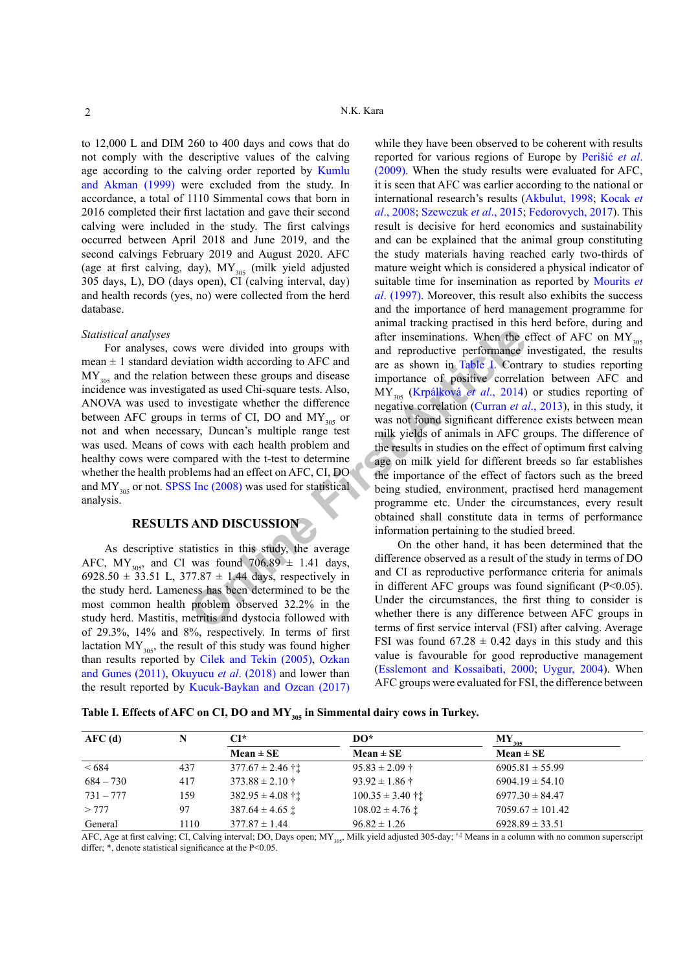to 12,000 L and DIM 260 to 400 days and cows that do not comply with the descriptive values of the calving age according to the calving order reported by [Kumlu](#page-5-3) [and Akman \(1999\)](#page-5-3) were excluded from the study. In accordance, a total of 1110 Simmental cows that born in 2016 completed their first lactation and gave their second calving were included in the study. The first calvings occurred between April 2018 and June 2019, and the second calvings February 2019 and August 2020. AFC (age at first calving, day),  $MY_{305}$  (milk yield adjusted 305 days, L), DO (days open), CI (calving interval, day) and health records (yes, no) were collected from the herd database.

#### *Statistical analyses*

For analyses, cows were divided into groups with mean  $\pm$  1 standard deviation width according to AFC and  $MY_{305}$  and the relation between these groups and disease incidence was investigated as used Chi-square tests. Also, ANOVA was used to investigate whether the difference between AFC groups in terms of CI, DO and  $MY_{305}$  or not and when necessary, Duncan's multiple range test was used. Means of cows with each health problem and healthy cows were compared with the t-test to determine whether the health problems had an effect on AFC, CI, DO and MY<sub>305</sub> or not. [SPSS Inc \(2008\)](#page-6-1) was used for statistical analysis.

## **RESULTS AND DISCUSSION**

As descriptive statistics in this study, the average AFC, MY<sub>305</sub>, and CI was found  $706.89 \pm 1.41$  days, 6928.50  $\pm$  33.51 L, 377.87  $\pm$  1.44 days, respectively in the study herd. Lameness has been determined to be the most common health problem observed 32.2% in the study herd. Mastitis, metritis and dystocia followed with of 29.3%, 14% and 8%, respectively. In terms of first lactation  $MY_{305}$ , the result of this study was found higher than results reported by [Cilek and Tekin \(2005\),](#page-4-0) [Ozkan](#page-6-2) [and Gunes \(2011\)](#page-6-2), [Okuyucu](#page-6-0) *et al*. (2018) and lower than the result reported by [Kucuk-Baykan and Ozcan \(2017\)](#page-5-4)

was were divided into groups with<br>
after inseminations. When the e<br>
intion width according to AFC and<br>
between these groups and discanse<br>
between these groups and discanse<br>
between these groups and discanse<br>
interestigate while they have been observed to be coherent with results reported for various regions of Europe by Perišić *et al*. (2009). When the study results were evaluated for AFC, it is seen that AFC was earlier according to the national or international research's results (Akbulut, 1998; Kocak *et al*., 2008; [Szewczuk](#page-6-3) *et al*., 2015; [Fedorovych, 2017](#page-5-5)). This result is decisive for herd economics and sustainability and can be explained that the animal group constituting the study materials having reached early two-thirds of mature weight which is considered a physical indicator of suitable time for insemination as reported by [Mourits](#page-5-6) *et al*[. \(1997\).](#page-5-6) Moreover, this result also exhibits the success and the importance of herd management programme for animal tracking practised in this herd before, during and after inseminations. When the effect of AFC on  $MY_{305}$ and reproductive performance investigated, the results are as shown in Table I. Contrary to studies reporting importance of positive correlation between AFC and MY305 (Krpálková *et al*., 2014) or studies reporting of negative correlation (Curran *et al*., 2013), in this study, it was not found significant difference exists between mean milk yields of animals in AFC groups. The difference of the results in studies on the effect of optimum first calving age on milk yield for different breeds so far establishes the importance of the effect of factors such as the breed being studied, environment, practised herd management programme etc. Under the circumstances, every result obtained shall constitute data in terms of performance information pertaining to the studied breed.

On the other hand, it has been determined that the difference observed as a result of the study in terms of DO and CI as reproductive performance criteria for animals in different AFC groups was found significant  $(P<0.05)$ . Under the circumstances, the first thing to consider is whether there is any difference between AFC groups in terms of first service interval (FSI) after calving. Average FSI was found  $67.28 \pm 0.42$  days in this study and this value is favourable for good reproductive management [\(Esslemont and Kossaibati, 2000](#page-5-7); [Uygur, 2004\)](#page-6-4). When AFC groups were evaluated for FSI, the difference between

<span id="page-1-0"></span>Table I. Effects of AFC on CI, DO and MY<sub>305</sub> in Simmental dairy cows in Turkey.

| AFC(d)      |      | $CI^*$                       | DO*                          | $\mathbf{M}\mathbf{Y}_{_{305}}$ |  |
|-------------|------|------------------------------|------------------------------|---------------------------------|--|
|             |      | $Mean \pm SE$                | $Mean \pm SE$                | $Mean \pm SE$                   |  |
| <684        | 437  | $377.67 \pm 2.46$ † †        | $95.83 \pm 2.09$ †           | $6905.81 \pm 55.99$             |  |
| $684 - 730$ | 417  | $373.88 \pm 2.10$ †          | $93.92 \pm 1.86 \pm 1.86$    | $6904.19 \pm 54.10$             |  |
| $731 - 777$ | 159  | $382.95 \pm 4.08$ ††         | $100.35 \pm 3.40$ ††         | $6977.30 \pm 84.47$             |  |
| >777        | 97   | $387.64 \pm 4.65$ $\ddagger$ | $108.02 \pm 4.76$ $\ddagger$ | $7059.67 \pm 101.42$            |  |
| General     | 1110 | $377.87 \pm 1.44$            | $96.82 \pm 1.26$             | $6928.89 \pm 33.51$             |  |

AFC, Age at first calving; CI, Calving interval; DO, Days open; MY<sub>305</sub>, Milk yield adjusted 305-day; <sup>†,‡</sup> Means in a column with no common superscript differ;  $*$ , denote statistical significance at the P<0.05.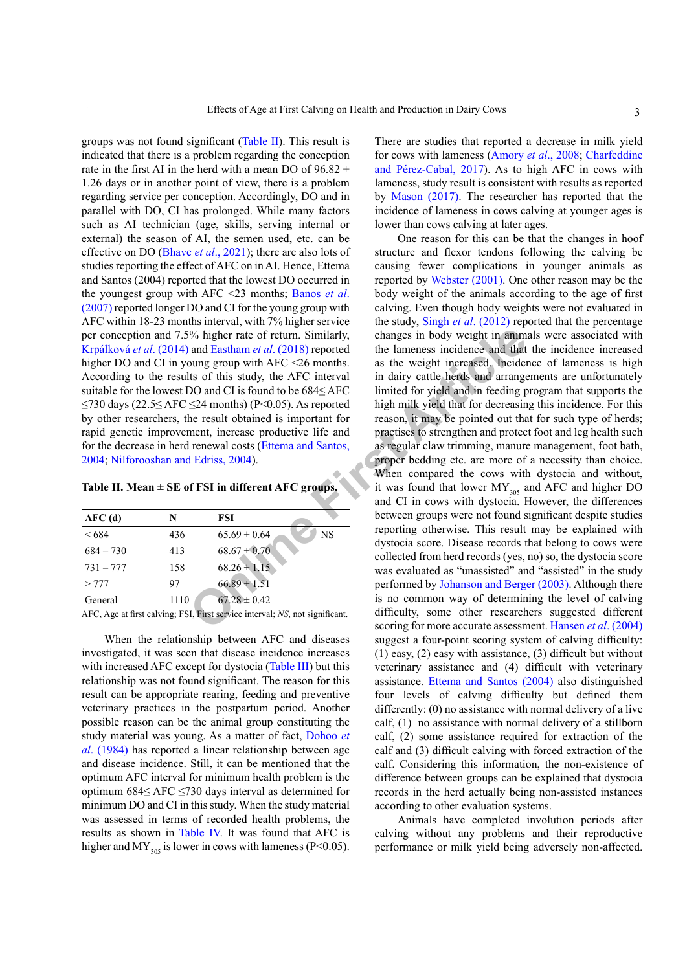groups was not found significant ([Table II\)](#page-2-0). This result is indicated that there is a problem regarding the conception rate in the first AI in the herd with a mean DO of  $96.82 \pm$ 1.26 days or in another point of view, there is a problem regarding service per conception. Accordingly, DO and in parallel with DO, CI has prolonged. While many factors such as AI technician (age, skills, serving internal or external) the season of AI, the semen used, etc. can be effective on DO (Bhave *et al*[., 2021\)](#page-4-2); there are also lots of studies reporting the effect of AFC on in AI. Hence, Ettema and Santos (2004) reported that the lowest DO occurred in the youngest group with AFC <23 months; [Banos](#page-4-3) *et al*. [\(2007\)](#page-4-3) reported longer DO and CI for the young group with AFC within 18-23 months interval, with 7% higher service per conception and 7.5% higher rate of return. Similarly, Krpálková *et al*. (2014) and Eastham *et al*. (2018) reported higher DO and CI in young group with AFC <26 months. According to the results of this study, the AFC interval suitable for the lowest DO and CI is found to be 684≤ AFC ≤730 days (22.5≤ AFC ≤24 months) (P<0.05). As reported by other researchers, the result obtained is important for rapid genetic improvement, increase productive life and for the decrease in herd renewal costs (Ettema and Santos, [2004](#page-5-9); [Nilforooshan and Edriss, 2004](#page-5-2)).

#### <span id="page-2-0"></span>**Table II. Mean ± SE of FSI in different AFC groups.**

| AFC(d)      | N    | FSI                           |
|-------------|------|-------------------------------|
| < 684       | 436  | <b>NS</b><br>$65.69 \pm 0.64$ |
| $684 - 730$ | 413  | $68.67 \pm 0.70$              |
| $731 - 777$ | 158  | $68.26 \pm 1.15$              |
| > 777       | 97   | $66.89 \pm 1.51$              |
| General     | 1110 | $67.28 \pm 0.42$              |

AFC, Age at first calving; FSI, First service interval; *NS*, not significant.

When the relationship between AFC and diseases investigated, it was seen that disease incidence increases with increased AFC except for dystocia [\(Table III\)](#page-3-0) but this relationship was not found significant. The reason for this result can be appropriate rearing, feeding and preventive veterinary practices in the postpartum period. Another possible reason can be the animal group constituting the study material was young. As a matter of fact, [Dohoo](#page-4-4) *et al*[. \(1984\)](#page-4-4) has reported a linear relationship between age and disease incidence. Still, it can be mentioned that the optimum AFC interval for minimum health problem is the optimum 684≤ AFC ≤730 days interval as determined for minimum DO and CI in this study. When the study material was assessed in terms of recorded health problems, the results as shown in [Table IV.](#page-3-1) It was found that AFC is higher and MY<sub>305</sub> is lower in cows with lameness (P<0.05).

There are studies that reported a decrease in milk yield for cows with lameness ([Amory](#page-4-5) *et al*., 2008; Charfeddine and Pérez-Cabal, 2017). As to high AFC in cows with lameness, study result is consistent with results as reported by [Mason \(2017\)](#page-5-10). The researcher has reported that the incidence of lameness in cows calving at younger ages is lower than cows calving at later ages.

For the state of the state of the state of the state of the state of the state of the state of the state of the state of the state of the state of the state of the state of the state of the state of the state of the state One reason for this can be that the changes in hoof structure and flexor tendons following the calving be causing fewer complications in younger animals as reported by [Webster \(2001\).](#page-6-5) One other reason may be the body weight of the animals according to the age of first calving. Even though body weights were not evaluated in the study, Singh *et al*[. \(2012\)](#page-6-6) reported that the percentage changes in body weight in animals were associated with the lameness incidence and that the incidence increased as the weight increased. Incidence of lameness is high in dairy cattle herds and arrangements are unfortunately limited for yield and in feeding program that supports the high milk yield that for decreasing this incidence. For this reason, it may be pointed out that for such type of herds; practises to strengthen and protect foot and leg health such as regular claw trimming, manure management, foot bath, proper bedding etc. are more of a necessity than choice. When compared the cows with dystocia and without, it was found that lower  $MY_{305}$  and AFC and higher DO and CI in cows with dystocia. However, the differences between groups were not found significant despite studies reporting otherwise. This result may be explained with dystocia score. Disease records that belong to cows were collected from herd records (yes, no) so, the dystocia score was evaluated as "unassisted" and "assisted" in the study performed by [Johanson and Berger \(2003\).](#page-5-11) Although there is no common way of determining the level of calving difficulty, some other researchers suggested different scoring for more accurate assessment. [Hansen](#page-5-12) *et al*. (2004) suggest a four-point scoring system of calving difficulty: (1) easy, (2) easy with assistance, (3) difficult but without veterinary assistance and (4) difficult with veterinary assistance. [Ettema and Santos \(2004\)](#page-5-9) also distinguished four levels of calving difficulty but defined them differently: (0) no assistance with normal delivery of a live calf, (1) no assistance with normal delivery of a stillborn calf, (2) some assistance required for extraction of the calf and (3) difficult calving with forced extraction of the calf. Considering this information, the non-existence of difference between groups can be explained that dystocia records in the herd actually being non-assisted instances according to other evaluation systems.

> Animals have completed involution periods after calving without any problems and their reproductive performance or milk yield being adversely non-affected.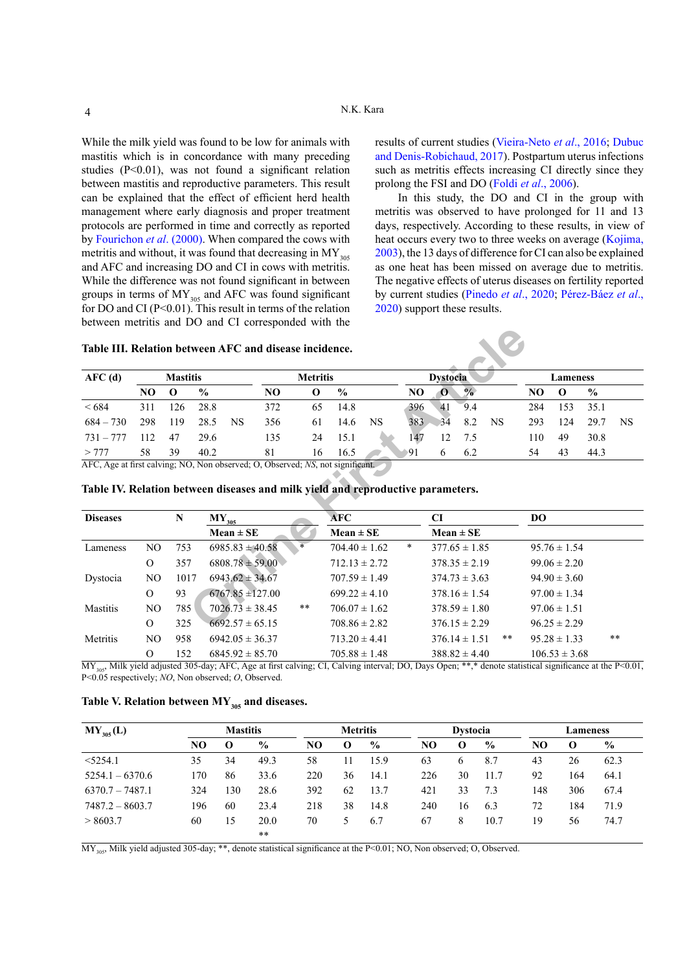While the milk yield was found to be low for animals with mastitis which is in concordance with many preceding studies (P<0.01), was not found a significant relation between mastitis and reproductive parameters. This result can be explained that the effect of efficient herd health management where early diagnosis and proper treatment protocols are performed in time and correctly as reported by [Fourichon](#page-5-13) *et al*. (2000). When compared the cows with metritis and without, it was found that decreasing in  $MY_{305}$ and AFC and increasing DO and CI in cows with metritis. While the difference was not found significant in between groups in terms of  $MY_{305}$  and AFC was found significant for DO and CI  $(P<0.01)$ . This result in terms of the relation between metritis and DO and CI corresponded with the results of current studies [\(Vieira-Neto](#page-6-7) *et al*., 2016; [Dubuc](#page-5-14)  [and Denis-Robichaud, 2017](#page-5-14)). Postpartum uterus infections such as metritis effects increasing CI directly since they prolong the FSI and DO (Foldi *et al*[., 2006](#page-5-15)).

In this study, the DO and CI in the group with metritis was observed to have prolonged for 11 and 13 days, respectively. According to these results, in view of heat occurs every two to three weeks on average (Kojima, [2003](#page-5-16)), the 13 days of difference for CI can also be explained as one heat has been missed on average due to metritis. The negative effects of uterus diseases on fertility reported by current studies (Pinedo *et al*., 2020; Pérez-Báez *et al*., 2020) support these results.

| AFC(d)      |      | <b>Mastitis</b> |               |    |     | <b>Metritis</b> |               |    |     | <b>Dystocia</b> |               |     |     | Lameness |               |           |
|-------------|------|-----------------|---------------|----|-----|-----------------|---------------|----|-----|-----------------|---------------|-----|-----|----------|---------------|-----------|
|             | NO   | $\Omega$        | $\frac{0}{0}$ |    | NO. | $\Omega$        | $\frac{6}{9}$ |    | NO  | -0              | $\frac{9}{6}$ |     | NO  | O        | $\frac{0}{0}$ |           |
| <684        | 311  | 126             | 28.8          |    | 372 | 65              | 14.8          |    | 396 | 41              | 9.4           |     | 284 | 153      | 35.1          |           |
| $684 - 730$ | 298  | 119             | 28.5          | NS | 356 | 61              | 14.6          | NS | 383 | 34              | 8.2           | NS. | 293 | 124      | 29.7          | <b>NS</b> |
| $731 - 777$ | 112. | 47              | 29.6          |    | 135 | 24              | 15.1          |    | 147 | 12              | 7.5           |     | 110 | 49       | 30.8          |           |
| >777        | 58   | 39              | 40.2          |    | 81  | 16              | 16.5          |    | 91  | b               | 6.2           |     | 54  | 43       | 44.3          |           |

<span id="page-3-0"></span>

| AFC(d)          |                | <b>Mastitis</b> |               |                                                                                 |     | <b>Metritis</b> |                   |           |        | <b>Dystocia</b> |                   |           |                | Lameness         |               |           |
|-----------------|----------------|-----------------|---------------|---------------------------------------------------------------------------------|-----|-----------------|-------------------|-----------|--------|-----------------|-------------------|-----------|----------------|------------------|---------------|-----------|
|                 | NO.            | $\mathbf 0$     | $\frac{0}{0}$ |                                                                                 | NO  | 0               | $\frac{0}{0}$     |           | NO     | $\mathbf 0$     | $\frac{9}{6}$     |           | N <sub>O</sub> | $\mathbf 0$      | $\frac{0}{0}$ |           |
| < 684           | 311            | 126             | 28.8          |                                                                                 | 372 | 65              | 14.8              |           | 396    | 41              | 9.4               |           | 284            | 153              | 35.1          |           |
| $684 - 730$     | 298            | 119             | 28.5          | <b>NS</b>                                                                       | 356 | 61              | 14.6              | <b>NS</b> | 383    | 34              | 8.2               | <b>NS</b> | 293            | 124              | 29.7          | <b>NS</b> |
| $731 - 777$     | 112            | 47              | 29.6          |                                                                                 | 135 | 24              | 15.1              |           | 147    | 12              | 7.5               |           | 110            | 49               | 30.8          |           |
| > 777           | 58             | 39              | 40.2          |                                                                                 | 81  | 16              | 16.5              |           | 91     | 6               | 6.2               |           | 54             | 43               | 44.3          |           |
|                 |                |                 |               | Table IV. Relation between diseases and milk yield and reproductive parameters. |     |                 |                   |           |        |                 |                   |           |                |                  |               |           |
| <b>Diseases</b> |                | N               |               | $MY_{305}$                                                                      |     |                 | <b>AFC</b>        |           |        | <b>CI</b>       |                   |           | <b>DO</b>      |                  |               |           |
|                 |                |                 |               | $Mean \pm SE$                                                                   |     |                 | $Mean \pm SE$     |           |        | $Mean \pm SE$   |                   |           |                |                  |               |           |
| Lameness        | N <sub>O</sub> | 753             |               | $6985.83 \pm 40.58$                                                             |     |                 | $704.40 \pm 1.62$ |           | $\ast$ |                 | $377.65 \pm 1.85$ |           |                | $95.76 \pm 1.54$ |               |           |
|                 | $\Omega$       | 357             |               | $6808.78 \pm 59.00$                                                             |     |                 | $712.13 \pm 2.72$ |           |        |                 | $378.35 \pm 2.19$ |           |                | $99.06 \pm 2.20$ |               |           |
| Dystocia        | NO.            | 1017            |               | $6943.62 \pm 34.67$                                                             |     |                 | $707.59 \pm 1.49$ |           |        |                 | $374.73 \pm 3.63$ |           |                | $94.90 \pm 3.60$ |               |           |
|                 | $\Omega$       | 93              |               | $6767.85 \pm 127.00$                                                            |     |                 | $699.22 \pm 4.10$ |           |        |                 | $378.16 \pm 1.54$ |           |                | $97.00 \pm 1.34$ |               |           |
| Mastitis        | N <sub>O</sub> | 785             |               | $7026.73 \pm 38.45$                                                             |     | $***$           | $706.07 \pm 1.62$ |           |        |                 | $378.59 \pm 1.80$ |           |                | $97.06 \pm 1.51$ |               |           |
|                 | $\Omega$       | 325             |               | $6692.57 \pm 65.15$                                                             |     |                 | $708.86 \pm 2.82$ |           |        |                 | $376.15 \pm 2.29$ |           |                | $96.25 \pm 2.29$ |               |           |
| Metritis        | N <sub>O</sub> | 958             |               | $6942.05 \pm 36.37$                                                             |     |                 | $713.20 \pm 4.41$ |           |        |                 | $376.14 \pm 1.51$ | $***$     |                | $95.28 \pm 1.33$ |               | $**$      |

## <span id="page-3-1"></span>**Table IV. Relation between diseases and milk yield and reproductive parameters.**

 $\overline{MY}_{305}$  Milk yield adjusted 305-day; AFC, Age at first calving; CI, Calving interval; DO, Days Open; \*\*,\* denote statistical significance at the P<0.01, P<0.05 respectively; *NO*, Non observed; *O*, Observed.

<span id="page-3-2"></span>

| Table V. Relation between $MY_{305}$ and diseases. |  |  |  |
|----------------------------------------------------|--|--|--|
|----------------------------------------------------|--|--|--|

| $MY_{305}(L)$     |     | <b>Mastitis</b> |               |     | <b>Metritis</b> |               |     | <b>Dystocia</b> |               |     | <b>Lameness</b> |               |
|-------------------|-----|-----------------|---------------|-----|-----------------|---------------|-----|-----------------|---------------|-----|-----------------|---------------|
|                   | NO  | О               | $\frac{0}{0}$ | NO  | $\Omega$        | $\frac{6}{9}$ | NO  | $\mathbf{o}$    | $\frac{6}{9}$ | NO  | $\Omega$        | $\frac{6}{9}$ |
| $<$ 5254.1        | 35  | 34              | 49.3          | 58  | 11              | 15.9          | 63  | 6               | 8.7           | 43  | 26              | 62.3          |
| $5254.1 - 6370.6$ | 170 | 86              | 33.6          | 220 | 36              | 14.1          | 226 | 30              | 11.7          | 92  | 164             | 64.1          |
| $6370.7 - 7487.1$ | 324 | .30             | 28.6          | 392 | 62              | 13.7          | 421 | 33              | 7.3           | 148 | 306             | 67.4          |
| $7487.2 - 8603.7$ | 196 | 60              | 23.4          | 218 | 38              | 14.8          | 240 | 16              | 6.3           | 72  | 184             | 71.9          |
| > 8603.7          | 60  | 15              | 20.0          | 70  |                 | 6.7           | 67  | 8               | 10.7          | 19  | 56              | 74.7          |
|                   |     |                 | $* *$         |     |                 |               |     |                 |               |     |                 |               |

 $\overline{MY_{305}}$  Milk yield adjusted 305-day; \*\*, denote statistical significance at the P<0.01; NO, Non observed; O, Observed.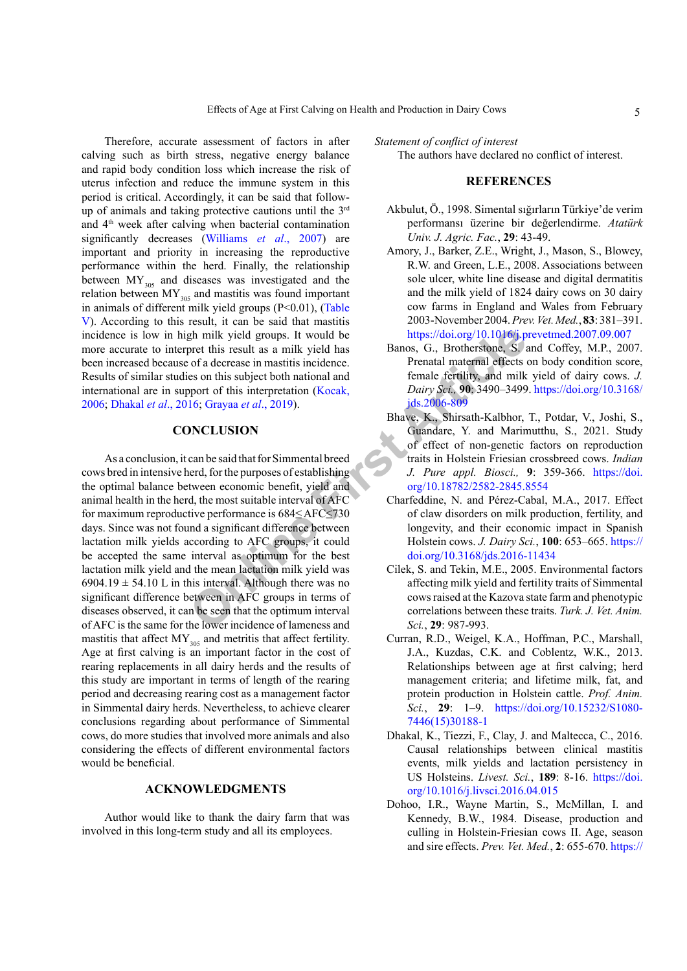Therefore, accurate assessment of factors in after calving such as birth stress, negative energy balance and rapid body condition loss which increase the risk of uterus infection and reduce the immune system in this period is critical. Accordingly, it can be said that followup of animals and taking protective cautions until the  $3<sup>rd</sup>$ and 4th week after calving when bacterial contamination significantly decreases ([Williams](#page-6-8) *et al*., 2007) are important and priority in increasing the reproductive performance within the herd. Finally, the relationship between  $MY_{305}$  and diseases was investigated and the relation between  $MY_{305}$  and mastitis was found important in animals of different milk yield groups (P<0.01), ([Table](#page-3-2) [V\)](#page-3-2). According to this result, it can be said that mastitis incidence is low in high milk yield groups. It would be more accurate to interpret this result as a milk yield has been increased because of a decrease in mastitis incidence. Results of similar studies on this subject both national and international are in support of this interpretation (Kocak, [2006](#page-5-17); [Dhakal](#page-4-6) *et al*., 2016; Grayaa *et al*., 2019).

## **CONCLUSION**

dentilies and interval and interval and interval and interval and interval and interval and interval and point of this interpretation (Kocak, Dairy Sei, 90; 3490–3499<br>
See on this subject both national and from the interv As a conclusion, it can be said that for Simmental breed cows bred in intensive herd, for the purposes of establishing the optimal balance between economic benefit, yield and animal health in the herd, the most suitable interval of AFC for maximum reproductive performance is 684≤ AFC≤730 days. Since was not found a significant difference between lactation milk yields according to AFC groups, it could be accepted the same interval as optimum for the best lactation milk yield and the mean lactation milk yield was 6904.19  $\pm$  54.10 L in this interval. Although there was no significant difference between in AFC groups in terms of diseases observed, it can be seen that the optimum interval of AFC is the same for the lower incidence of lameness and mastitis that affect  $MY_{305}$  and metritis that affect fertility. Age at first calving is an important factor in the cost of rearing replacements in all dairy herds and the results of this study are important in terms of length of the rearing period and decreasing rearing cost as a management factor in Simmental dairy herds. Nevertheless, to achieve clearer conclusions regarding about performance of Simmental cows, do more studies that involved more animals and also considering the effects of different environmental factors would be beneficial.

## **ACKNOWLEDGMENTS**

Author would like to thank the dairy farm that was involved in this long-term study and all its employees.

*Statement of conflict of interest* 

The authors have declared no conflict of interest.

## **REFERENCES**

- Akbulut, Ö., 1998. Simental sığırların Türkiye'de verim performansı üzerine bir değerlendirme. *Atatürk Univ. J. Agric. Fac.*, **29**: 43-49.
- <span id="page-4-5"></span>Amory, J., Barker, Z.E., Wright, J., Mason, S., Blowey, R.W. and Green, L.E., 2008. Associations between sole ulcer, white line disease and digital dermatitis and the milk yield of 1824 dairy cows on 30 dairy cow farms in England and Wales from February 2003-November 2004. *Prev. Vet. Med.*, **83**: 381–391. <https://doi.org/10.1016/j.prevetmed.2007.09.007>
- <span id="page-4-3"></span>Banos, G., Brotherstone, S. and Coffey, M.P., 2007. Prenatal maternal effects on body condition score, female fertility, and milk yield of dairy cows. *J. Dairy Sci.,* **90**: 3490–3499. [https://doi.org/10.3168/](https://doi.org/10.3168/jds.2006-809) jds.2006-809
- <span id="page-4-2"></span>Bhave, K., Shirsath-Kalbhor, T., Potdar, V., Joshi, S., Guandare, Y. and Marimutthu, S., 2021. Study of effect of non-genetic factors on reproduction traits in Holstein Friesian crossbreed cows. *Indian J. Pure appl. Biosci.,* **9**: 359-366. [https://doi.](https://doi.org/10.18782/2582-2845.8554) org/10.18782/2582-2845.8554
- Charfeddine, N. and Pérez-Cabal, M.A., 2017. Effect of claw disorders on milk production, fertility, and longevity, and their economic impact in Spanish Holstein cows. *J. Dairy Sci.*, **100**: 653–665. [https://](https://doi.org/10.3168/jds.2016-11434) doi.org/10.3168/jds.2016-11434
- <span id="page-4-0"></span>Cilek, S. and Tekin, M.E., 2005. Environmental factors affecting milk yield and fertility traits of Simmental cows raised at the Kazova state farm and phenotypic correlations between these traits. *Turk. J. Vet. Anim. Sci.*, **29**: 987-993.
- <span id="page-4-1"></span>Curran, R.D., Weigel, K.A., Hoffman, P.C., Marshall, J.A., Kuzdas, C.K. and Coblentz, W.K., 2013. Relationships between age at first calving; herd management criteria; and lifetime milk, fat, and protein production in Holstein cattle. *Prof. Anim. Sci.*, **29**: 1–9. [https://doi.org/10.15232/S1080-](https://doi.org/10.15232/S1080-7446(15)30188-1) [7446\(15\)30188-1](https://doi.org/10.15232/S1080-7446(15)30188-1)
- <span id="page-4-6"></span>Dhakal, K., Tiezzi, F., Clay, J. and Maltecca, C., 2016. Causal relationships between clinical mastitis events, milk yields and lactation persistency in US Holsteins. *Livest. Sci.*, **189**: 8-16. [https://doi.](https://doi.org/10.1016/j.livsci.2016.04.015) [org/10.1016/j.livsci.2016.04.015](https://doi.org/10.1016/j.livsci.2016.04.015)
- <span id="page-4-4"></span>Dohoo, I.R., Wayne Martin, S., McMillan, I. and Kennedy, B.W., 1984. Disease, production and culling in Holstein-Friesian cows II. Age, season and sire effects. *Prev. Vet. Med.*, **2**: 655-670. [https://](https://doi.org/10.1016/0167-5877(84)90012-6)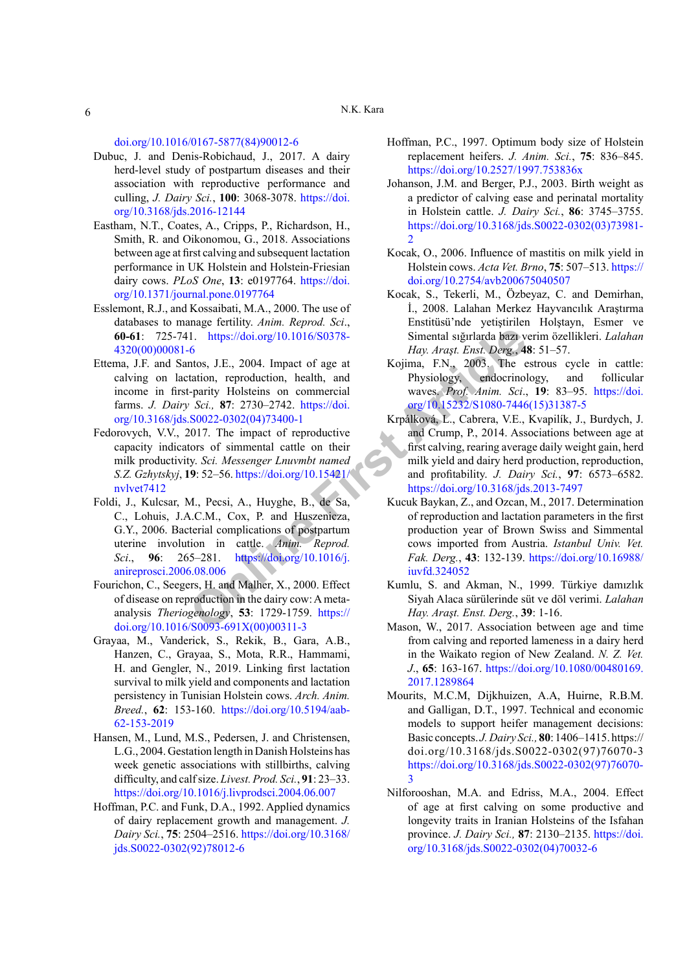[doi.org/10.1016/0167-5877\(84\)90012-6](https://doi.org/10.1016/0167-5877(84)90012-6)

- <span id="page-5-14"></span>Dubuc, J. and Denis-Robichaud, J., 2017. A dairy herd-level study of postpartum diseases and their association with reproductive performance and culling, *J. Dairy Sci.*, **100**: 3068-3078. [https://doi.](https://doi.org/10.3168/jds.2016-12144) [org/10.3168/jds.2016-12144](https://doi.org/10.3168/jds.2016-12144)
- <span id="page-5-8"></span>Eastham, N.T., Coates, A., Cripps, P., Richardson, H., Smith, R. and Oikonomou, G., 2018. Associations between age at first calving and subsequent lactation performance in UK Holstein and Holstein-Friesian dairy cows. *PLoS One*, **13**: e0197764. [https://doi.](https://doi.org/10.1371/journal.pone.0197764) [org/10.1371/journal.pone.0197764](https://doi.org/10.1371/journal.pone.0197764)
- <span id="page-5-7"></span>Esslemont, R.J., and Kossaibati, M.A., 2000. The use of databases to manage fertility. *Anim. Reprod. Sci*., **60-61**: 725-741. https://doi.org/10.1016/S0378- [4320\(00\)00081-6](https://doi.org/10.1016/S0378-4320(00)00081-6)
- <span id="page-5-9"></span>Ettema, J.F. and Santos, J.E., 2004. Impact of age at calving on lactation, reproduction, health, and income in first-parity Holsteins on commercial farms. *J. Dairy Sci.,* **87**: 2730–2742. https://doi. [org/10.3168/jds.S0022-0302\(04\)73400-1](https://doi.org/10.3168/jds.S0022-0302(04)73400-1)
- <span id="page-5-15"></span><span id="page-5-5"></span>Fedorovych, V.V., 2017. The impact of reproductive capacity indicators of simmental cattle on their milk productivity. *Sci. Messenger Lnuvmbt named S.Z. Gzhytskyj*, **19**: 52–56. https://doi.org/10.15421/ [nvlvet7412](https://doi.org/10.15421/nvlvet7412)
- 1. https://doi.org/10.1016/S0378-<br> **Simental signal bazy**<br>
Articles, J.E., 2004. Impact of age at<br>
tation, repoduction, health, and<br>
particle in the production content of the production of the proof the content of the stat Foldi, J., Kulcsar, M., Pecsi, A., Huyghe, B., de Sa, C., Lohuis, J.A.C.M., Cox, P. and Huszenicza, G.Y., 2006. Bacterial complications of postpartum uterine involution in cattle. *Anim. Reprod. Sci*., **96**: 265–281. https://doi.org/10.1016/j. [anireprosci.2006.08.006](https://doi.org/10.1016/j.anireprosci.2006.08.006)
- <span id="page-5-13"></span>Fourichon, C., Seegers, H. and Malher, X., 2000. Effect of disease on reproduction in the dairy cow: A metaanalysis *Theriogenology*, **53**: 1729-1759. https:// [doi.org/10.1016/S0093-691X\(00\)00311-3](https://doi.org/10.1016/S0093-691X(00)00311-3)
- <span id="page-5-18"></span>Grayaa, M., Vanderick, S., Rekik, B., Gara, A.B., Hanzen, C., Grayaa, S., Mota, R.R., Hammami, H. and Gengler, N., 2019. Linking first lactation survival to milk yield and components and lactation persistency in Tunisian Holstein cows. *Arch. Anim. Breed.*, **62**: 153-160. [https://doi.org/10.5194/aab-](https://doi.org/10.5194/aab-62-153-2019)[62-153-2019](https://doi.org/10.5194/aab-62-153-2019)
- <span id="page-5-12"></span>Hansen, M., Lund, M.S., Pedersen, J. and Christensen, L.G., 2004. Gestation length in Danish Holsteins has week genetic associations with stillbirths, calving difficulty, and calf size. *Livest. Prod. Sci.*, **91**: 23–33. <https://doi.org/10.1016/j.livprodsci.2004.06.007>
- <span id="page-5-0"></span>Hoffman, P.C. and Funk, D.A., 1992. Applied dynamics of dairy replacement growth and management. *J. Dairy Sci.*, **75**: 2504–2516. [https://doi.org/10.3168/](https://doi.org/10.3168/jds.S0022-0302(92)78012-6) [jds.S0022-0302\(92\)78012-6](https://doi.org/10.3168/jds.S0022-0302(92)78012-6)
- <span id="page-5-1"></span>Hoffman, P.C., 1997. Optimum body size of Holstein replacement heifers. *J. Anim. Sci.*, **75**: 836–845. <https://doi.org/10.2527/1997.753836x>
- <span id="page-5-11"></span>Johanson, J.M. and Berger, P.J., 2003. Birth weight as a predictor of calving ease and perinatal mortality in Holstein cattle. *J. Dairy Sci.*, **86**: 3745–3755. [https://doi.org/10.3168/jds.S0022-0302\(03\)73981-](https://doi.org/10.3168/jds.S0022-0302(03)73981-2) [2](https://doi.org/10.3168/jds.S0022-0302(03)73981-2)
- <span id="page-5-17"></span>Kocak, O., 2006. Influence of mastitis on milk yield in Holstein cows. *Acta Vet. Brno*, **75**: 507–513. [https://](https://doi.org/10.2754/avb200675040507) [doi.org/10.2754/avb200675040507](https://doi.org/10.2754/avb200675040507)
- Kocak, S., Tekerli, M., Özbeyaz, C. and Demirhan, İ., 2008. Lalahan Merkez Hayvancılık Araştırma Enstitüsü'nde yetiştirilen Holştayn, Esmer ve Simental sığırlarda bazı verim özellikleri. *Lalahan Hay. Araşt. Enst. Derg.*, **48**: 51–57.
- <span id="page-5-16"></span>Kojima, F.N., 2003. The estrous cycle in cattle: Physiology, endocrinology, and follicular waves. *Prof. Anim. Sci*., **19**: 83–95. [https://doi.](https://doi.org/10.15232/S1080-7446(15)31387-5) [org/10.15232/S1080-7446\(15\)31387-5](https://doi.org/10.15232/S1080-7446(15)31387-5)
- Krpálková, L., Cabrera, V.E., Kvapilík, J., Burdych, J. and Crump, P., 2014. Associations between age at first calving, rearing average daily weight gain, herd milk yield and dairy herd production, reproduction, and profitability. *J. Dairy Sci.*, **97**: 6573–6582. <https://doi.org/10.3168/jds.2013-7497>
- <span id="page-5-4"></span>Kucuk Baykan, Z., and Ozcan, M., 2017. Determination of reproduction and lactation parameters in the first production year of Brown Swiss and Simmental cows imported from Austria. *Istanbul Univ. Vet. Fak. Derg.*, **43**: 132-139. [https://doi.org/10.16988/](https://doi.org/10.16988/iuvfd.324052) iuvfd.324052
- <span id="page-5-3"></span>Kumlu, S. and Akman, N., 1999. Türkiye damızlık Siyah Alaca sürülerinde süt ve döl verimi. *Lalahan Hay. Araşt. Enst. Derg.*, **39**: 1-16.
- <span id="page-5-10"></span>Mason, W., 2017. Association between age and time from calving and reported lameness in a dairy herd in the Waikato region of New Zealand. *N. Z. Vet. J*., **65**: 163-167. [https://doi.org/10.1080/00480169.](https://doi.org/10.1080/00480169.2017.1289864) [2017.1289864](https://doi.org/10.1080/00480169.2017.1289864)
- <span id="page-5-6"></span>Mourits, M.C.M, Dijkhuizen, A.A, Huirne, R.B.M. and Galligan, D.T., 1997. Technical and economic models to support heifer management decisions: Basic concepts. *J. Dairy Sci.,* **80**: 1406–1415. https:// doi.org/10.3168/jds.S0022-0302(97)76070-3 [https://doi.org/10.3168/jds.S0022-0302\(97\)76070-](https://doi.org/10.3168/jds.S0022-0302(97)76070-3) [3](https://doi.org/10.3168/jds.S0022-0302(97)76070-3)
- <span id="page-5-2"></span>Nilforooshan, M.A. and Edriss, M.A., 2004. Effect of age at first calving on some productive and longevity traits in Iranian Holsteins of the Isfahan province. *J. Dairy Sci.,* **87**: 2130–2135. [https://doi.](https://doi.org/10.3168/jds.S0022-0302(04)70032-6) [org/10.3168/jds.S0022-0302\(04\)70032-6](https://doi.org/10.3168/jds.S0022-0302(04)70032-6)

6